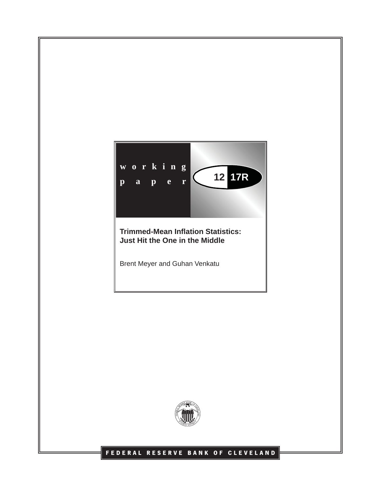

**Just Hit the One in the Middle**

Brent Meyer and Guhan Venkatu



# **FEDERAL RESERVE BANK OF CLEVELAND**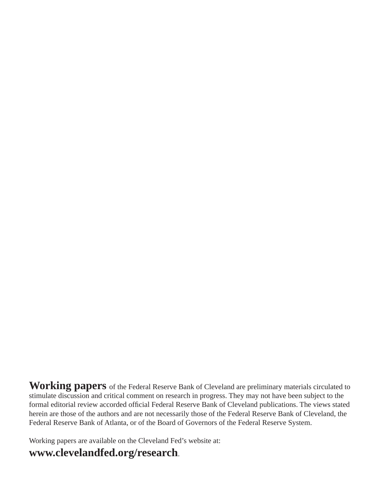**Working papers** of the Federal Reserve Bank of Cleveland are preliminary materials circulated to stimulate discussion and critical comment on research in progress. They may not have been subject to the formal editorial review accorded official Federal Reserve Bank of Cleveland publications. The views stated herein are those of the authors and are not necessarily those of the Federal Reserve Bank of Cleveland, the Federal Reserve Bank of Atlanta, or of the Board of Governors of the Federal Reserve System.

Working papers are available on the Cleveland Fed's website at:

# **www.clevelandfed.org/research**.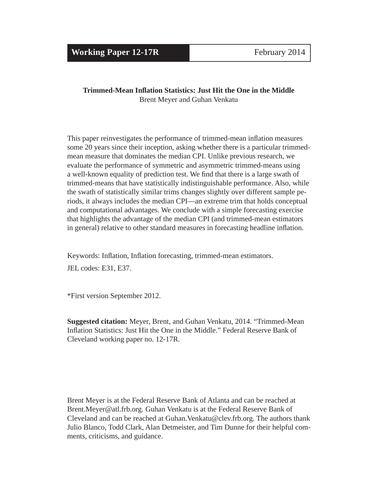# **Trimmed-Mean Infl ation Statistics: Just Hit the One in the Middle** Brent Meyer and Guhan Venkatu

This paper reinvestigates the performance of trimmed-mean inflation measures some 20 years since their inception, asking whether there is a particular trimmedmean measure that dominates the median CPI. Unlike previous research, we evaluate the performance of symmetric and asymmetric trimmed-means using a well-known equality of prediction test. We find that there is a large swath of trimmed-means that have statistically indistinguishable performance. Also, while the swath of statistically similar trims changes slightly over different sample periods, it always includes the median CPI—an extreme trim that holds conceptual and computational advantages. We conclude with a simple forecasting exercise that highlights the advantage of the median CPI (and trimmed-mean estimators in general) relative to other standard measures in forecasting headline inflation.

Keywords: Inflation, Inflation forecasting, trimmed-mean estimators. JEL codes: E31, E37.

\*First version September 2012.

**Suggested citation:** Meyer, Brent, and Guhan Venkatu, 2014. "Trimmed-Mean Inflation Statistics: Just Hit the One in the Middle." Federal Reserve Bank of Cleveland working paper no. 12-17R.

Brent Meyer is at the Federal Reserve Bank of Atlanta and can be reached at Brent.Meyer@atl.frb.org. Guhan Venkatu is at the Federal Reserve Bank of Cleveland and can be reached at Guhan.Venkatu@clev.frb.org. The authors thank Julio Blanco, Todd Clark, Alan Detmeister, and Tim Dunne for their helpful comments, criticisms, and guidance.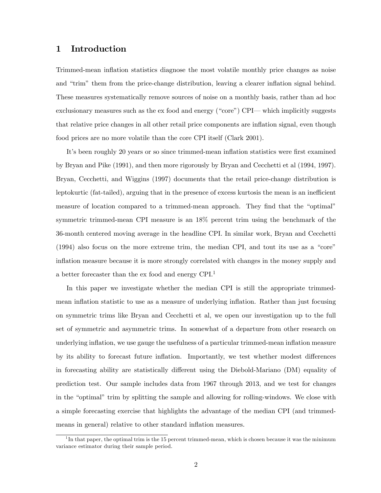### 1 Introduction

Trimmed-mean ináation statistics diagnose the most volatile monthly price changes as noise and "trim" them from the price-change distribution, leaving a clearer inflation signal behind. These measures systematically remove sources of noise on a monthly basis, rather than ad hoc exclusionary measures such as the ex food and energy ("core") CPI— which implicitly suggests that relative price changes in all other retail price components are inflation signal, even though food prices are no more volatile than the core CPI itself (Clark 2001).

It's been roughly 20 years or so since trimmed-mean inflation statistics were first examined by Bryan and Pike (1991), and then more rigorously by Bryan and Cecchetti et al (1994, 1997). Bryan, Cecchetti, and Wiggins (1997) documents that the retail price-change distribution is leptokurtic (fat-tailed), arguing that in the presence of excess kurtosis the mean is an inefficient measure of location compared to a trimmed-mean approach. They find that the "optimal" symmetric trimmed-mean CPI measure is an 18% percent trim using the benchmark of the 36-month centered moving average in the headline CPI. In similar work, Bryan and Cecchetti  $(1994)$  also focus on the more extreme trim, the median CPI, and tout its use as a "core" ináation measure because it is more strongly correlated with changes in the money supply and a better forecaster than the ex food and energy CPI.<sup>1</sup>

In this paper we investigate whether the median CPI is still the appropriate trimmedmean inflation statistic to use as a measure of underlying inflation. Rather than just focusing on symmetric trims like Bryan and Cecchetti et al, we open our investigation up to the full set of symmetric and asymmetric trims. In somewhat of a departure from other research on underlying inflation, we use gauge the usefulness of a particular trimmed-mean inflation measure by its ability to forecast future inflation. Importantly, we test whether modest differences in forecasting ability are statistically different using the Diebold-Mariano (DM) equality of prediction test. Our sample includes data from 1967 through 2013, and we test for changes in the "optimal" trim by splitting the sample and allowing for rolling-windows. We close with a simple forecasting exercise that highlights the advantage of the median CPI (and trimmedmeans in general) relative to other standard inflation measures.

<sup>&</sup>lt;sup>1</sup>In that paper, the optimal trim is the 15 percent trimmed-mean, which is chosen because it was the minimum variance estimator during their sample period.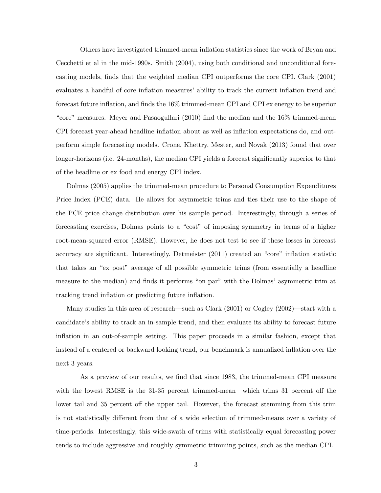Others have investigated trimmed-mean inflation statistics since the work of Bryan and Cecchetti et al in the mid-1990s. Smith (2004), using both conditional and unconditional forecasting models, Önds that the weighted median CPI outperforms the core CPI. Clark (2001) evaluates a handful of core inflation measures' ability to track the current inflation trend and forecast future inflation, and finds the  $16\%$  trimmed-mean CPI and CPI ex energy to be superior "core" measures. Meyer and Pasaogullari  $(2010)$  find the median and the  $16\%$  trimmed-mean CPI forecast year-ahead headline inflation about as well as inflation expectations do, and outperform simple forecasting models. Crone, Khettry, Mester, and Novak (2013) found that over longer-horizons (i.e. 24-months), the median CPI yields a forecast significantly superior to that of the headline or ex food and energy CPI index.

Dolmas (2005) applies the trimmed-mean procedure to Personal Consumption Expenditures Price Index (PCE) data. He allows for asymmetric trims and ties their use to the shape of the PCE price change distribution over his sample period. Interestingly, through a series of forecasting exercises, Dolmas points to a "cost" of imposing symmetry in terms of a higher root-mean-squared error (RMSE). However, he does not test to see if these losses in forecast accuracy are significant. Interestingly, Detmeister  $(2011)$  created an "core" inflation statistic that takes an "ex post" average of all possible symmetric trims (from essentially a headline measure to the median) and finds it performs "on par" with the Dolmas' asymmetric trim at tracking trend inflation or predicting future inflation.

Many studies in this area of research—such as Clark  $(2001)$  or Cogley  $(2002)$ —start with a candidateís ability to track an in-sample trend, and then evaluate its ability to forecast future ináation in an out-of-sample setting. This paper proceeds in a similar fashion, except that instead of a centered or backward looking trend, our benchmark is annualized inflation over the next 3 years.

As a preview of our results, we find that since 1983, the trimmed-mean CPI measure with the lowest RMSE is the  $31-35$  percent trimmed-mean—which trims 31 percent off the lower tail and 35 percent off the upper tail. However, the forecast stemming from this trim is not statistically different from that of a wide selection of trimmed-means over a variety of time-periods. Interestingly, this wide-swath of trims with statistically equal forecasting power tends to include aggressive and roughly symmetric trimming points, such as the median CPI.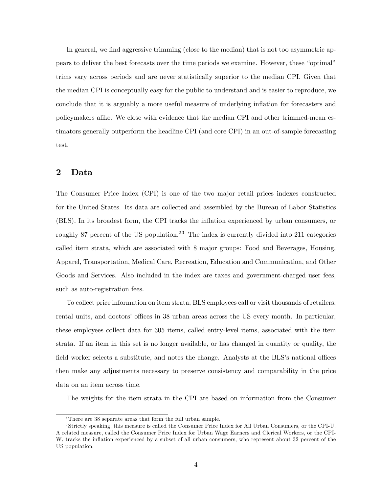In general, we find aggressive trimming (close to the median) that is not too asymmetric appears to deliver the best forecasts over the time periods we examine. However, these "optimal" trims vary across periods and are never statistically superior to the median CPI. Given that the median CPI is conceptually easy for the public to understand and is easier to reproduce, we conclude that it is arguably a more useful measure of underlying inflation for forecasters and policymakers alike. We close with evidence that the median CPI and other trimmed-mean estimators generally outperform the headline CPI (and core CPI) in an out-of-sample forecasting test.

# 2 Data

The Consumer Price Index (CPI) is one of the two major retail prices indexes constructed for the United States. Its data are collected and assembled by the Bureau of Labor Statistics (BLS). In its broadest form, the CPI tracks the ináation experienced by urban consumers, or roughly 87 percent of the US population.<sup>23</sup> The index is currently divided into 211 categories called item strata, which are associated with 8 major groups: Food and Beverages, Housing, Apparel, Transportation, Medical Care, Recreation, Education and Communication, and Other Goods and Services. Also included in the index are taxes and government-charged user fees, such as auto-registration fees.

To collect price information on item strata, BLS employees call or visit thousands of retailers, rental units, and doctors' offices in 38 urban areas across the US every month. In particular, these employees collect data for 305 items, called entry-level items, associated with the item strata. If an item in this set is no longer available, or has changed in quantity or quality, the field worker selects a substitute, and notes the change. Analysts at the BLS's national offices then make any adjustments necessary to preserve consistency and comparability in the price data on an item across time.

The weights for the item strata in the CPI are based on information from the Consumer

 $2$ There are 38 separate areas that form the full urban sample.

<sup>3</sup> Strictly speaking, this measure is called the Consumer Price Index for All Urban Consumers, or the CPI-U. A related measure, called the Consumer Price Index for Urban Wage Earners and Clerical Workers, or the CPI-W, tracks the inflation experienced by a subset of all urban consumers, who represent about 32 percent of the US population.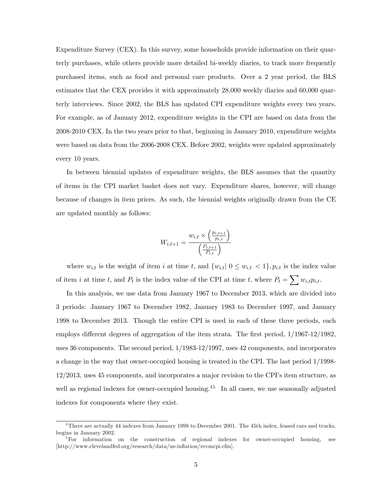Expenditure Survey (CEX). In this survey, some households provide information on their quarterly purchases, while others provide more detailed bi-weekly diaries, to track more frequently purchased items, such as food and personal care products. Over a 2 year period, the BLS estimates that the CEX provides it with approximately 28,000 weekly diaries and 60,000 quarterly interviews. Since 2002, the BLS has updated CPI expenditure weights every two years. For example, as of January 2012, expenditure weights in the CPI are based on data from the 2008-2010 CEX. In the two years prior to that, beginning in January 2010, expenditure weights were based on data from the 2006-2008 CEX. Before 2002, weights were updated approximately every 10 years.

In between biennial updates of expenditure weights, the BLS assumes that the quantity of items in the CPI market basket does not vary. Expenditure shares, however, will change because of changes in item prices. As such, the biennial weights originally drawn from the CE are updated monthly as follows:

$$
W_{i,t+1} = \frac{w_{i,t} \times \left(\frac{p_{i,t+1}}{p_{i,t}}\right)}{\left(\frac{P_{i,t+1}}{P_{i,t}}\right)}
$$

where  $w_{i,t}$  is the weight of item i at time t, and  $\{w_{i,t} | 0 \leq w_{i,t} < 1\}$ ,  $p_{i,t}$  is the index value of item i at time t, and  $P_t$  is the index value of the CPI at time t, where  $P_t = \sum w_{i,t} p_{i,t}$ .

In this analysis, we use data from January 1967 to December 2013, which are divided into 3 periods: January 1967 to December 1982, January 1983 to December 1997, and January 1998 to December 2013. Though the entire CPI is used in each of these three periods, each employs different degrees of aggregation of the item strata. The first period,  $1/1967-12/1982$ , uses 36 components. The second period, 1/1983-12/1997, uses 42 components, and incorporates a change in the way that owner-occupied housing is treated in the CPI. The last period 1/1998- 12/2013, uses 45 components, and incorporates a major revision to the CPIís item structure, as well as regional indexes for owner-occupied housing.<sup>45</sup> In all cases, we use seasonally adjusted indexes for components where they exist.

<sup>&</sup>lt;sup>4</sup>There are actually 44 indexes from January 1998 to December 2001. The 45th index, leased cars and trucks, begins in January 2002.

 ${}^{5}$ For information on the construction of regional indexes for owner-occupied housing, see  $[\text{http://www.clevelandfed.org/research/data/us-inflation/revmcpi.cfm}].$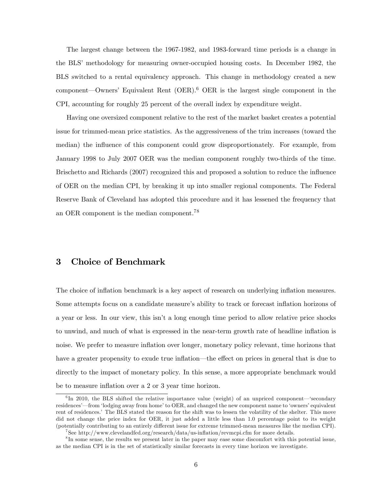The largest change between the 1967-1982, and 1983-forward time periods is a change in the BLS' methodology for measuring owner-occupied housing costs. In December 1982, the BLS switched to a rental equivalency approach. This change in methodology created a new component—Owners' Equivalent Rent  $(OER)$ .<sup>6</sup> OER is the largest single component in the CPI, accounting for roughly 25 percent of the overall index by expenditure weight.

Having one oversized component relative to the rest of the market basket creates a potential issue for trimmed-mean price statistics. As the aggressiveness of the trim increases (toward the median) the influence of this component could grow disproportionately. For example, from January 1998 to July 2007 OER was the median component roughly two-thirds of the time. Brischetto and Richards (2007) recognized this and proposed a solution to reduce the influence of OER on the median CPI, by breaking it up into smaller regional components. The Federal Reserve Bank of Cleveland has adopted this procedure and it has lessened the frequency that an OER component is the median component.<sup>78</sup>

# 3 Choice of Benchmark

The choice of inflation benchmark is a key aspect of research on underlying inflation measures. Some attempts focus on a candidate measure's ability to track or forecast inflation horizons of a year or less. In our view, this isn't a long enough time period to allow relative price shocks to unwind, and much of what is expressed in the near-term growth rate of headline inflation is noise. We prefer to measure inflation over longer, monetary policy relevant, time horizons that have a greater propensity to exude true inflation—the effect on prices in general that is due to directly to the impact of monetary policy. In this sense, a more appropriate benchmark would be to measure inflation over a 2 or 3 year time horizon.

 ${}^{6}$ In 2010, the BLS shifted the relative importance value (weight) of an unpriced component—'secondary residences<sup>'</sup> from 'lodging away from home' to OER, and changed the new component name to 'owners' equivalent rent of residences. The BLS stated the reason for the shift was to lessen the volatility of the shelter. This move did not change the price index for OER, it just added a little less than 1.0 percentage point to its weight (potentially contributing to an entirely different issue for extreme trimmed-mean measures like the median CPI).

<sup>&</sup>lt;sup>7</sup>See http://www.clevelandfed.org/research/data/us-inflation/revmcpi.cfm for more details.

<sup>&</sup>lt;sup>8</sup>In some sense, the results we present later in the paper may ease some discomfort with this potential issue, as the median CPI is in the set of statistically similar forecasts in every time horizon we investigate.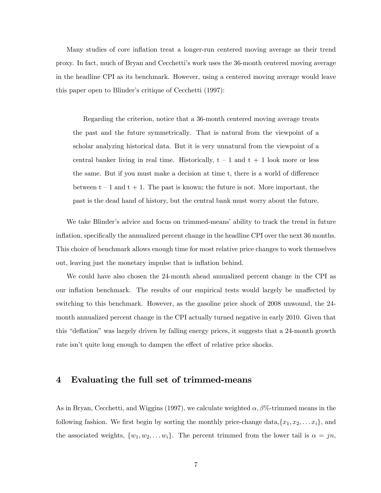Many studies of core inflation treat a longer-run centered moving average as their trend proxy. In fact, much of Bryan and Cecchettiís work uses the 36-month centered moving average in the headline CPI as its benchmark. However, using a centered moving average would leave this paper open to Blinder's critique of Cecchetti (1997):

Regarding the criterion, notice that a 36-month centered moving average treats the past and the future symmetrically. That is natural from the viewpoint of a scholar analyzing historical data. But it is very unnatural from the viewpoint of a central banker living in real time. Historically,  $t - 1$  and  $t + 1$  look more or less the same. But if you must make a decision at time  $t$ , there is a world of difference between  $t - 1$  and  $t + 1$ . The past is known; the future is not. More important, the past is the dead hand of history, but the central bank must worry about the future.

We take Blinder's advice and focus on trimmed-means' ability to track the trend in future inflation, specifically the annualized percent change in the headline CPI over the next 36 months. This choice of benchmark allows enough time for most relative price changes to work themselves out, leaving just the monetary impulse that is inflation behind.

We could have also chosen the 24-month ahead annualized percent change in the CPI as our inflation benchmark. The results of our empirical tests would largely be unaffected by switching to this benchmark. However, as the gasoline price shock of 2008 unwound, the 24 month annualized percent change in the CPI actually turned negative in early 2010. Given that this "deflation" was largely driven by falling energy prices, it suggests that a 24-month growth rate isn't quite long enough to dampen the effect of relative price shocks.

### 4 Evaluating the full set of trimmed-means

As in Bryan, Cecchetti, and Wiggins (1997), we calculate weighted  $\alpha$ ,  $\beta$ %-trimmed means in the following fashion. We first begin by sorting the monthly price-change data, $\{x_1, x_2, \ldots x_i\}$ , and the associated weights,  $\{w_1, w_2, \ldots w_i\}$ . The percent trimmed from the lower tail is  $\alpha = jn$ ,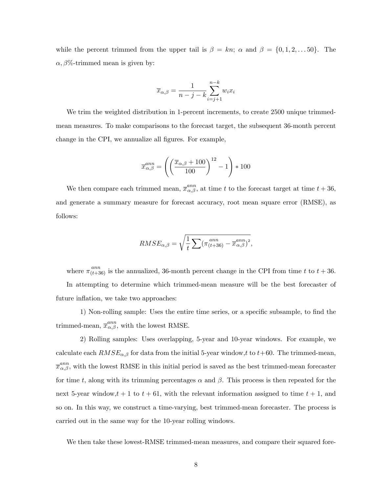while the percent trimmed from the upper tail is  $\beta = kn$ ;  $\alpha$  and  $\beta = \{0, 1, 2, \ldots, 50\}$ . The  $\alpha$ ,  $\beta$ %-trimmed mean is given by:

$$
\overline{x}_{\alpha,\beta} = \frac{1}{n-j-k} \sum_{i=j+1}^{n-k} w_i x_i
$$

We trim the weighted distribution in 1-percent increments, to create 2500 unique trimmedmean measures. To make comparisons to the forecast target, the subsequent 36-month percent change in the CPI, we annualize all figures. For example,

$$
\overline{x}_{\alpha,\beta}^{ann} = \left( \left( \frac{\overline{x}_{\alpha,\beta} + 100}{100} \right)^{12} - 1 \right) * 100
$$

We then compare each trimmed mean,  $\overline{x}_{\alpha,\beta}^{ann}$ , at time t to the forecast target at time  $t + 36$ , and generate a summary measure for forecast accuracy, root mean square error (RMSE), as follows:

$$
RMSE_{\alpha,\beta} = \sqrt{\frac{1}{t} \sum (\pi_{(t+36)}^{ann} - \overline{x}_{\alpha,\beta}^{ann})^2},
$$

where  $\pi^{ann}_{(t+36)}$  is the annualized, 36-month percent change in the CPI from time t to  $t + 36$ .

In attempting to determine which trimmed-mean measure will be the best forecaster of future inflation, we take two approaches:

1) Non-rolling sample: Uses the entire time series, or a specific subsample, to find the trimmed-mean,  $\overline{x}_{\alpha,\beta}^{ann}$ , with the lowest RMSE.

2) Rolling samples: Uses overlapping, 5-year and 10-year windows. For example, we calculate each  $RMSE_{\alpha,\beta}$  for data from the initial 5-year window,t to  $t+60$ . The trimmed-mean,  $\bar{x}_{\alpha,\beta}^{ann}$ , with the lowest RMSE in this initial period is saved as the best trimmed-mean forecaster for time t, along with its trimming percentages  $\alpha$  and  $\beta$ . This process is then repeated for the next 5-year window,  $t + 1$  to  $t + 61$ , with the relevant information assigned to time  $t + 1$ , and so on. In this way, we construct a time-varying, best trimmed-mean forecaster. The process is carried out in the same way for the 10-year rolling windows.

We then take these lowest-RMSE trimmed-mean measures, and compare their squared fore-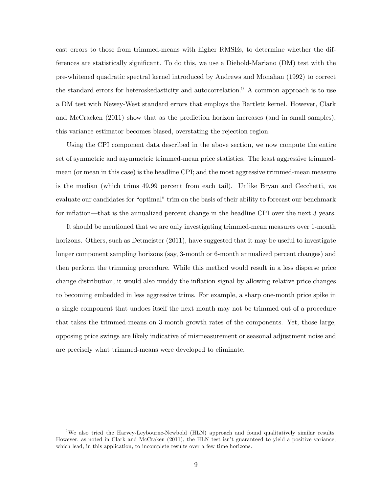cast errors to those from trimmed-means with higher RMSEs, to determine whether the differences are statistically significant. To do this, we use a Diebold-Mariano (DM) test with the pre-whitened quadratic spectral kernel introduced by Andrews and Monahan (1992) to correct the standard errors for heteroskedasticity and autocorrelation.<sup>9</sup> A common approach is to use a DM test with Newey-West standard errors that employs the Bartlett kernel. However, Clark and McCracken (2011) show that as the prediction horizon increases (and in small samples), this variance estimator becomes biased, overstating the rejection region.

Using the CPI component data described in the above section, we now compute the entire set of symmetric and asymmetric trimmed-mean price statistics. The least aggressive trimmedmean (or mean in this case) is the headline CPI; and the most aggressive trimmed-mean measure is the median (which trims 49.99 percent from each tail). Unlike Bryan and Cecchetti, we evaluate our candidates for "optimal" trim on the basis of their ability to forecast our benchmark for inflation—that is the annualized percent change in the headline CPI over the next 3 years.

It should be mentioned that we are only investigating trimmed-mean measures over 1-month horizons. Others, such as Detmeister (2011), have suggested that it may be useful to investigate longer component sampling horizons (say, 3-month or 6-month annualized percent changes) and then perform the trimming procedure. While this method would result in a less disperse price change distribution, it would also muddy the inflation signal by allowing relative price changes to becoming embedded in less aggressive trims. For example, a sharp one-month price spike in a single component that undoes itself the next month may not be trimmed out of a procedure that takes the trimmed-means on 3-month growth rates of the components. Yet, those large, opposing price swings are likely indicative of mismeasurement or seasonal adjustment noise and are precisely what trimmed-means were developed to eliminate.

<sup>&</sup>lt;sup>9</sup>We also tried the Harvey-Leybourne-Newbold (HLN) approach and found qualitatively similar results. However, as noted in Clark and McCraken (2011), the HLN test isn't guaranteed to yield a positive variance, which lead, in this application, to incomplete results over a few time horizons.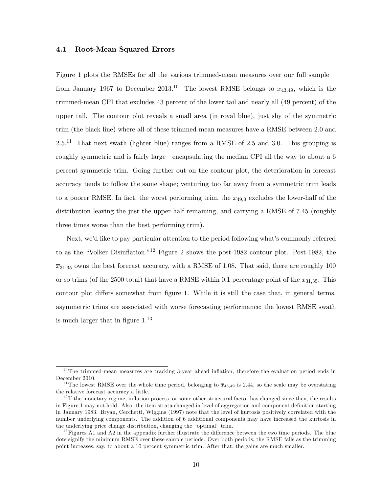#### 4.1 Root-Mean Squared Errors

Figure 1 plots the RMSEs for all the various trimmed-mean measures over our full sample from January 1967 to December 2013.<sup>10</sup> The lowest RMSE belongs to  $\overline{x}_{43,49}$ , which is the trimmed-mean CPI that excludes 43 percent of the lower tail and nearly all (49 percent) of the upper tail. The contour plot reveals a small area (in royal blue), just shy of the symmetric trim (the black line) where all of these trimmed-mean measures have a RMSE between 2.0 and  $2.5<sup>11</sup>$  That next swath (lighter blue) ranges from a RMSE of 2.5 and 3.0. This grouping is roughly symmetric and is fairly large—encapsulating the median CPI all the way to about a 6 percent symmetric trim. Going further out on the contour plot, the deterioration in forecast accuracy tends to follow the same shape; venturing too far away from a symmetric trim leads to a poorer RMSE. In fact, the worst performing trim, the  $\overline{x}_{49,0}$  excludes the lower-half of the distribution leaving the just the upper-half remaining, and carrying a RMSE of 7.45 (roughly three times worse than the best performing trim).

Next, we'd like to pay particular attention to the period following what's commonly referred to as the "Volker Disinflation.<sup>"12</sup> Figure 2 shows the post-1982 contour plot. Post-1982, the  $\overline{x}_{31,35}$  owns the best forecast accuracy, with a RMSE of 1.08. That said, there are roughly 100 or so trims (of the 2500 total) that have a RMSE within 0.1 percentage point of the  $\overline{x}_{31,35}$ . This contour plot differs somewhat from figure 1. While it is still the case that, in general terms, asymmetric trims are associated with worse forecasting performance; the lowest RMSE swath is much larger that in figure  $1^{13}$ 

 $10$ The trimmed-mean measures are tracking 3-year ahead inflation, therefore the evaluation period ends in December 2010.

<sup>&</sup>lt;sup>11</sup>The lowest RMSE over the whole time period, belonging to  $\bar{x}_{43,49}$  is 2.44, so the scale may be overstating the relative forecast accuracy a little.

 $12$  If the monetary regime, inflation process, or some other structural factor has changed since then, the results in Figure 1 may not hold. Also, the item strata changed in level of aggregation and component definition starting in January 1983. Bryan, Cecchetti, Wiggins (1997) note that the level of kurtosis positively correlated with the number underlying components. The addition of 6 additional components may have increased the kurtosis in the underlying price change distribution, changing the "optimal" trim.

 $13$  Figures A1 and A2 in the appendix further illustrate the difference between the two time periods. The blue dots signify the minimum RMSE over these sample periods. Over both periods, the RMSE falls as the trimming point increases, say, to about a 10 percent symmetric trim. After that, the gains are much smaller.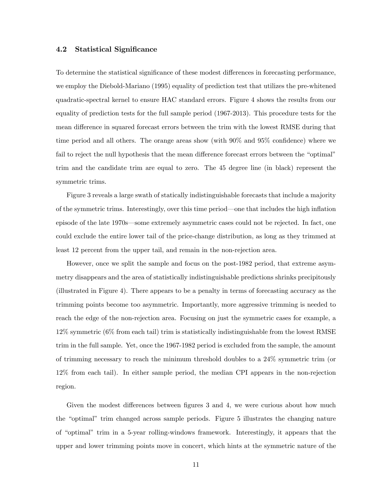#### 4.2 Statistical Significance

To determine the statistical significance of these modest differences in forecasting performance, we employ the Diebold-Mariano (1995) equality of prediction test that utilizes the pre-whitened quadratic-spectral kernel to ensure HAC standard errors. Figure 4 shows the results from our equality of prediction tests for the full sample period (1967-2013). This procedure tests for the mean difference in squared forecast errors between the trim with the lowest RMSE during that time period and all others. The orange areas show (with  $90\%$  and  $95\%$  confidence) where we fail to reject the null hypothesis that the mean difference forecast errors between the "optimal" trim and the candidate trim are equal to zero. The 45 degree line (in black) represent the symmetric trims.

Figure 3 reveals a large swath of statically indistinguishable forecasts that include a majority of the symmetric trims. Interestingly, over this time period—one that includes the high inflation episode of the late 1970s—some extremely asymmetric cases could not be rejected. In fact, one could exclude the entire lower tail of the price-change distribution, as long as they trimmed at least 12 percent from the upper tail, and remain in the non-rejection area.

However, once we split the sample and focus on the post-1982 period, that extreme asymmetry disappears and the area of statistically indistinguishable predictions shrinks precipitously (illustrated in Figure 4). There appears to be a penalty in terms of forecasting accuracy as the trimming points become too asymmetric. Importantly, more aggressive trimming is needed to reach the edge of the non-rejection area. Focusing on just the symmetric cases for example, a 12% symmetric (6% from each tail) trim is statistically indistinguishable from the lowest RMSE trim in the full sample. Yet, once the 1967-1982 period is excluded from the sample, the amount of trimming necessary to reach the minimum threshold doubles to a 24% symmetric trim (or 12% from each tail). In either sample period, the median CPI appears in the non-rejection region.

Given the modest differences between figures  $3$  and  $4$ , we were curious about how much the "optimal" trim changed across sample periods. Figure 5 illustrates the changing nature of ìoptimalî trim in a 5-year rolling-windows framework. Interestingly, it appears that the upper and lower trimming points move in concert, which hints at the symmetric nature of the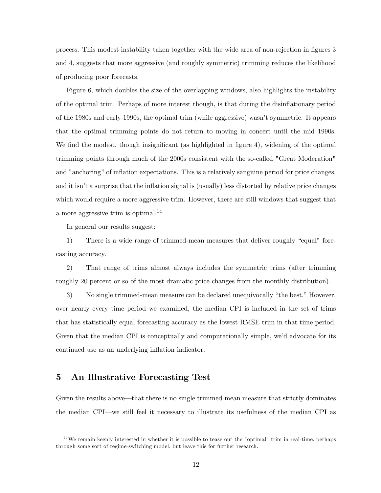process. This modest instability taken together with the wide area of non-rejection in figures 3 and 4, suggests that more aggressive (and roughly symmetric) trimming reduces the likelihood of producing poor forecasts.

Figure 6, which doubles the size of the overlapping windows, also highlights the instability of the optimal trim. Perhaps of more interest though, is that during the disináationary period of the 1980s and early 1990s, the optimal trim (while aggressive) wasnít symmetric. It appears that the optimal trimming points do not return to moving in concert until the mid 1990s. We find the modest, though insignificant (as highlighted in figure 4), widening of the optimal trimming points through much of the 2000s consistent with the so-called "Great Moderation" and "anchoring" of inflation expectations. This is a relatively sanguine period for price changes, and it isn't a surprise that the inflation signal is (usually) less distorted by relative price changes which would require a more aggressive trim. However, there are still windows that suggest that a more aggressive trim is optimal.<sup>14</sup>

In general our results suggest:

1) There is a wide range of trimmed-mean measures that deliver roughly "equal" forecasting accuracy.

2) That range of trims almost always includes the symmetric trims (after trimming roughly 20 percent or so of the most dramatic price changes from the monthly distribution).

3) No single trimmed-mean measure can be declared unequivocally "the best." However, over nearly every time period we examined, the median CPI is included in the set of trims that has statistically equal forecasting accuracy as the lowest RMSE trim in that time period. Given that the median CPI is conceptually and computationally simple, we'd advocate for its continued use as an underlying inflation indicator.

### 5 An Illustrative Forecasting Test

Given the results above—that there is no single trimmed-mean measure that strictly dominates the median CPI<sup><sub>n</sub>we still feel it necessary to illustrate its usefulness of the median CPI as</sup>

 $14$ We remain keenly interested in whether it is possible to tease out the "optimal" trim in real-time, perhaps through some sort of regime-switching model, but leave this for further research.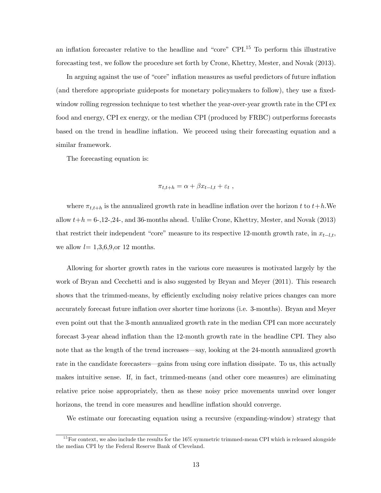an inflation forecaster relative to the headline and "core" CPI.<sup>15</sup> To perform this illustrative forecasting test, we follow the procedure set forth by Crone, Khettry, Mester, and Novak (2013).

In arguing against the use of "core" inflation measures as useful predictors of future inflation (and therefore appropriate guideposts for monetary policymakers to follow), they use a fixedwindow rolling regression technique to test whether the year-over-year growth rate in the CPI ex food and energy, CPI ex energy, or the median CPI (produced by FRBC) outperforms forecasts based on the trend in headline inflation. We proceed using their forecasting equation and a similar framework.

The forecasting equation is:

$$
\pi_{t,t+h} = \alpha + \beta x_{t-l,t} + \varepsilon_t ,
$$

where  $\pi_{t,t+h}$  is the annualized growth rate in headline inflation over the horizon t to  $t+h$ . We allow  $t+h = 6$ -, 12-, 24-, and 36-months ahead. Unlike Crone, Khettry, Mester, and Novak (2013) that restrict their independent "core" measure to its respective 12-month growth rate, in  $x_{t-l,t}$ , we allow  $l= 1,3,6,9,$  or 12 months.

Allowing for shorter growth rates in the various core measures is motivated largely by the work of Bryan and Cecchetti and is also suggested by Bryan and Meyer (2011). This research shows that the trimmed-means, by efficiently excluding noisy relative prices changes can more accurately forecast future ináation over shorter time horizons (i.e. 3-months). Bryan and Meyer even point out that the 3-month annualized growth rate in the median CPI can more accurately forecast 3-year ahead inflation than the 12-month growth rate in the headline CPI. They also note that as the length of the trend increases—say, looking at the 24-month annualized growth rate in the candidate forecasters—gains from using core inflation dissipate. To us, this actually makes intuitive sense. If, in fact, trimmed-means (and other core measures) are eliminating relative price noise appropriately, then as these noisy price movements unwind over longer horizons, the trend in core measures and headline inflation should converge.

We estimate our forecasting equation using a recursive (expanding-window) strategy that

<sup>&</sup>lt;sup>15</sup> For context, we also include the results for the  $16\%$  symmetric trimmed-mean CPI which is released alongside the median CPI by the Federal Reserve Bank of Cleveland.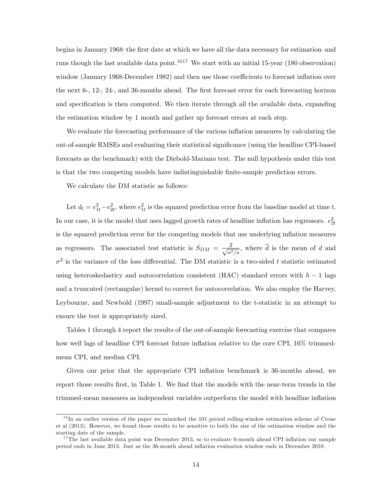begins in January 1968–the first date at which we have all the data necessary for estimation–and runs though the last available data point.<sup>1617</sup> We start with an initial 15-year (180 observation) window (January 1968-December 1982) and then use those coefficients to forecast inflation over the next 6-, 12-, 24-, and 36-months ahead. The first forecast error for each forecasting horizon and specification is then computed. We then iterate through all the available data, expanding the estimation window by 1 month and gather up forecast errors at each step.

We evaluate the forecasting performance of the various inflation measures by calculating the out-of-sample RMSEs and evaluating their statistical significance (using the headline CPI-based forecasts as the benchmark) with the Diebold-Mariano test. The null hypothesis under this test is that the two competing models have indistinguishable Önite-sample prediction errors.

We calculate the DM statistic as follows:

Let  $d_t = e_{1t}^2 - e_{2t}^2$ , where  $e_{1t}^2$  is the squared prediction error from the baseline model at time t. In our case, it is the model that uses lagged growth rates of headline inflation has regressors.  $e_{2t}^2$ is the squared prediction error for the competing models that use underlying ináation measures as regressors. The associated test statistic is  $S_{DM} = \frac{d}{\sqrt{d}}$  $\frac{d}{\sigma^2/n}$ , where d is the mean of d and  $\sigma^2$  is the variance of the loss differential. The DM statistic is a two-sided t statistic estimated using heteroskedasticy and autocorrelation consistent (HAC) standard errors with  $h-1$  lags and a truncated (rectangular) kernel to correct for autocorrelation. We also employ the Harvey, Leybourne, and Newbold (1997) small-sample adjustment to the t-statistic in an attempt to ensure the test is appropriately sized.

Tables 1 through 4 report the results of the out-of-sample forecasting exercise that compares how well lags of headline CPI forecast future inflation relative to the core CPI,  $16\%$  trimmedmean CPI, and median CPI.

Given our prior that the appropriate CPI inflation benchmark is 36-months ahead, we report those results first, in Table 1. We find that the models with the near-term trends in the trimmed-mean measures as independent variables outperform the model with headline inflation

 $16$  In an earlier version of the paper we mimicked the 101 period rolling-window estimation scheme of Crone et al (2013). However, we found those results to be sensitive to both the size of the estimation window and the starting date of the sample.

<sup>&</sup>lt;sup>17</sup>The last available data point was December 2013, so to evaluate 6-month ahead CPI inflation our sample period ends in June 2013. Just as the 36-month ahead ináation evaluation window ends in December 2010.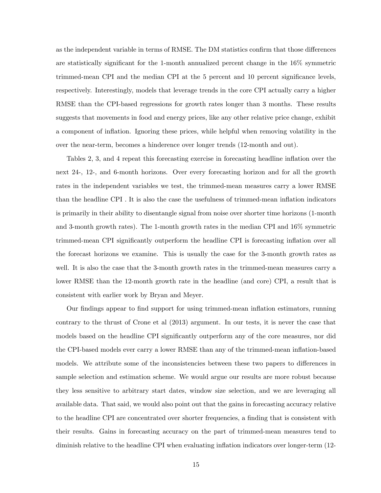as the independent variable in terms of RMSE. The DM statistics confirm that those differences are statistically significant for the 1-month annualized percent change in the  $16\%$  symmetric trimmed-mean CPI and the median CPI at the 5 percent and 10 percent significance levels, respectively. Interestingly, models that leverage trends in the core CPI actually carry a higher RMSE than the CPI-based regressions for growth rates longer than 3 months. These results suggests that movements in food and energy prices, like any other relative price change, exhibit a component of inflation. Ignoring these prices, while helpful when removing volatility in the over the near-term, becomes a hinderence over longer trends (12-month and out).

Tables 2, 3, and 4 repeat this forecasting exercise in forecasting headline inflation over the next 24-, 12-, and 6-month horizons. Over every forecasting horizon and for all the growth rates in the independent variables we test, the trimmed-mean measures carry a lower RMSE than the headline CPI. It is also the case the usefulness of trimmed-mean inflation indicators is primarily in their ability to disentangle signal from noise over shorter time horizons (1-month and 3-month growth rates). The 1-month growth rates in the median CPI and 16% symmetric trimmed-mean CPI significantly outperform the headline CPI is forecasting inflation over all the forecast horizons we examine. This is usually the case for the 3-month growth rates as well. It is also the case that the 3-month growth rates in the trimmed-mean measures carry a lower RMSE than the 12-month growth rate in the headline (and core) CPI, a result that is consistent with earlier work by Bryan and Meyer.

Our findings appear to find support for using trimmed-mean inflation estimators, running contrary to the thrust of Crone et al (2013) argument. In our tests, it is never the case that models based on the headline CPI significantly outperform any of the core measures, nor did the CPI-based models ever carry a lower RMSE than any of the trimmed-mean inflation-based models. We attribute some of the inconsistencies between these two papers to differences in sample selection and estimation scheme. We would argue our results are more robust because they less sensitive to arbitrary start dates, window size selection, and we are leveraging all available data. That said, we would also point out that the gains in forecasting accuracy relative to the headline CPI are concentrated over shorter frequencies, a finding that is consistent with their results. Gains in forecasting accuracy on the part of trimmed-mean measures tend to diminish relative to the headline CPI when evaluating inflation indicators over longer-term (12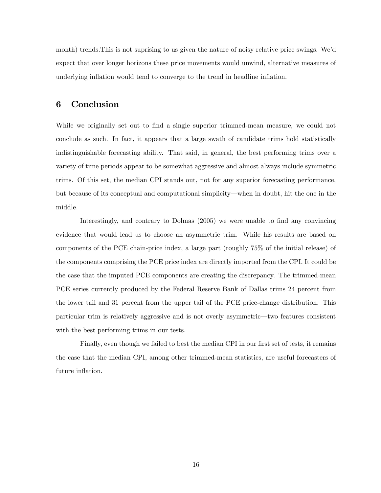month) trends.This is not suprising to us given the nature of noisy relative price swings. Weíd expect that over longer horizons these price movements would unwind, alternative measures of underlying inflation would tend to converge to the trend in headline inflation.

## 6 Conclusion

While we originally set out to find a single superior trimmed-mean measure, we could not conclude as such. In fact, it appears that a large swath of candidate trims hold statistically indistinguishable forecasting ability. That said, in general, the best performing trims over a variety of time periods appear to be somewhat aggressive and almost always include symmetric trims. Of this set, the median CPI stands out, not for any superior forecasting performance, but because of its conceptual and computational simplicity—when in doubt, hit the one in the middle.

Interestingly, and contrary to Dolmas (2005) we were unable to find any convincing evidence that would lead us to choose an asymmetric trim. While his results are based on components of the PCE chain-price index, a large part (roughly 75% of the initial release) of the components comprising the PCE price index are directly imported from the CPI. It could be the case that the imputed PCE components are creating the discrepancy. The trimmed-mean PCE series currently produced by the Federal Reserve Bank of Dallas trims 24 percent from the lower tail and 31 percent from the upper tail of the PCE price-change distribution. This particular trim is relatively aggressive and is not overly asymmetric—two features consistent with the best performing trims in our tests.

Finally, even though we failed to best the median CPI in our first set of tests, it remains the case that the median CPI, among other trimmed-mean statistics, are useful forecasters of future inflation.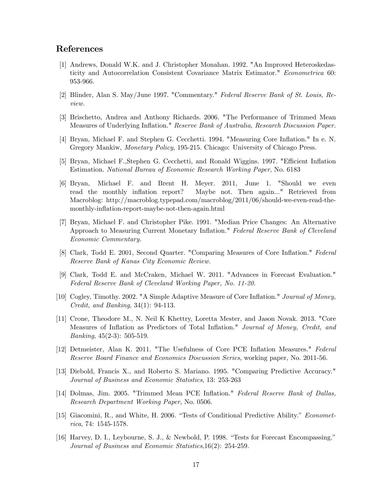# References

- [1] Andrews, Donald W.K. and J. Christopher Monahan. 1992. "An Improved Heteroskedasticity and Autocorrelation Consistent Covariance Matrix Estimator." Econometrica 60: 953-966.
- [2] Blinder, Alan S. May/June 1997. "Commentary." Federal Reserve Bank of St. Louis, Review.
- [3] Brischetto, Andrea and Anthony Richards. 2006. "The Performance of Trimmed Mean Measures of Underlying Inflation." Reserve Bank of Australia, Research Discussion Paper.
- [4] Bryan, Michael F. and Stephen G. Cecchetti. 1994. "Measuring Core Ináation." In e. N. Gregory Mankiw, Monetary Policy, 195-215. Chicago: University of Chicago Press.
- [5] Bryan, Michael F., Stephen G. Cecchetti, and Ronald Wiggins. 1997. "Efficient Inflation Estimation. National Bureau of Economic Research Working Paper, No. 6183
- [6] Bryan, Michael F. and Brent H. Meyer. 2011, June 1. "Should we even read the monthly inflation report? Maybe not. Then again..." Retrieved from Macroblog: http://macroblog.typepad.com/macroblog/2011/06/should-we-even-read-themonthly-inflation-report-maybe-not-then-again.html
- [7] Bryan, Michael F. and Christopher Pike. 1991. "Median Price Changes: An Alternative Approach to Measuring Current Monetary Inflation." Federal Reserve Bank of Cleveland Economic Commentary.
- [8] Clark, Todd E. 2001, Second Quarter. "Comparing Measures of Core Inflation." Federal Reserve Bank of Kanas City Economic Review.
- [9] Clark, Todd E. and McCraken, Michael W. 2011. "Advances in Forecast Evaluation." Federal Reserve Bank of Cleveland Working Paper, No. 11-20.
- [10] Cogley, Timothy. 2002. "A Simple Adaptive Measure of Core Inflation." Journal of Money, Credit, and Banking, 34(1): 94-113.
- [11] Crone, Theodore M., N. Neil K Khettry, Loretta Mester, and Jason Novak. 2013. "Core Measures of Inflation as Predictors of Total Inflation." Journal of Money, Credit, and *Banking*,  $45(2-3)$ : 505-519.
- [12] Detmeister, Alan K. 2011. "The Usefulness of Core PCE Inflation Measures." Federal Reserve Board Finance and Economics Discussion Series, working paper, No. 2011-56.
- [13] Diebold, Francis X., and Roberto S. Mariano. 1995. "Comparing Predictive Accuracy." Journal of Business and Economic Statistics, 13: 253-263
- [14] Dolmas, Jim. 2005. "Trimmed Mean PCE Inflation." Federal Reserve Bank of Dallas, Research Department Working Paper, No. 0506.
- [15] Giacomini, R., and White, H. 2006. "Tests of Conditional Predictive Ability." *Economet*rica, 74: 1545-1578.
- [16] Harvey, D. I., Leybourne, S. J., & Newbold, P. 1998. "Tests for Forecast Encompassing." Journal of Business and Economic Statistics,16(2): 254-259.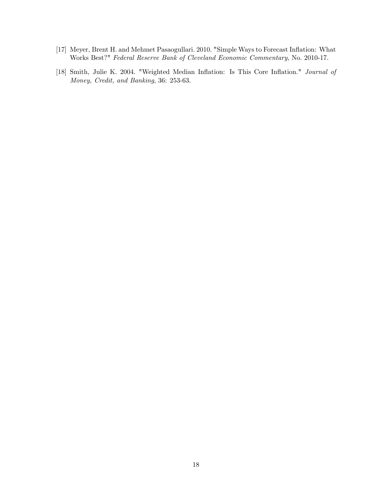- [17] Meyer, Brent H. and Mehmet Pasaogullari. 2010. "Simple Ways to Forecast Inflation: What Works Best?" Federal Reserve Bank of Cleveland Economic Commentary, No. 2010-17.
- [18] Smith, Julie K. 2004. "Weighted Median Inflation: Is This Core Inflation." Journal of Money, Credit, and Banking, 36: 253-63.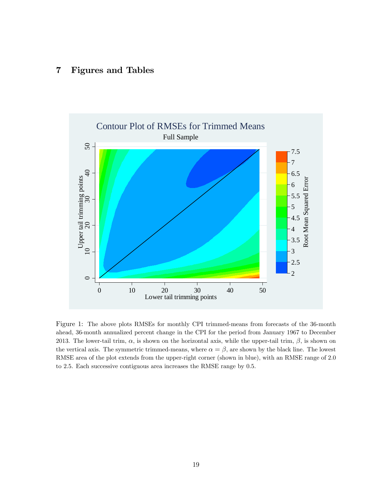# 7 Figures and Tables



Figure 1: The above plots RMSEs for monthly CPI trimmed-means from forecasts of the 36-month ahead, 36-month annualized percent change in the CPI for the period from January 1967 to December 2013. The lower-tail trim,  $\alpha$ , is shown on the horizontal axis, while the upper-tail trim,  $\beta$ , is shown on the vertical axis. The symmetric trimmed-means, where  $\alpha = \beta$ , are shown by the black line. The lowest RMSE area of the plot extends from the upper-right corner (shown in blue), with an RMSE range of 2.0 to 2.5. Each successive contiguous area increases the RMSE range by 0.5.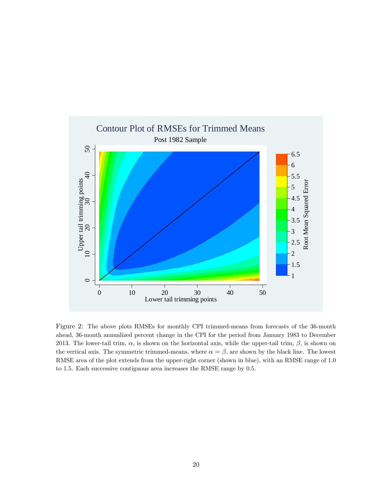

Figure 2: The above plots RMSEs for monthly CPI trimmed-means from forecasts of the 36-month ahead, 36-month annualized percent change in the CPI for the period from January 1983 to December 2013. The lower-tail trim,  $\alpha$ , is shown on the horizontal axis, while the upper-tail trim,  $\beta$ , is shown on the vertical axis. The symmetric trimmed-means, where  $\alpha = \beta$ , are shown by the black line. The lowest RMSE area of the plot extends from the upper-right corner (shown in blue), with an RMSE range of 1.0 to 1.5. Each successive contiguous area increases the RMSE range by 0.5.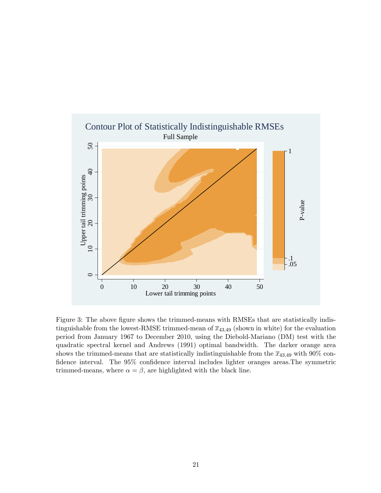

Figure 3: The above figure shows the trimmed-means with RMSEs that are statistically indistinguishable from the lowest-RMSE trimmed-mean of  $\overline{x}_{43,49}$  (shown in white) for the evaluation period from January 1967 to December 2010, using the Diebold-Mariano (DM) test with the quadratic spectral kernel and Andrews (1991) optimal bandwidth. The darker orange area shows the trimmed-means that are statistically indistinguishable from the  $\bar{x}_{43,49}$  with 90% confidence interval. The 95% confidence interval includes lighter oranges areas. The symmetric trimmed-means, where  $\alpha = \beta$ , are highlighted with the black line.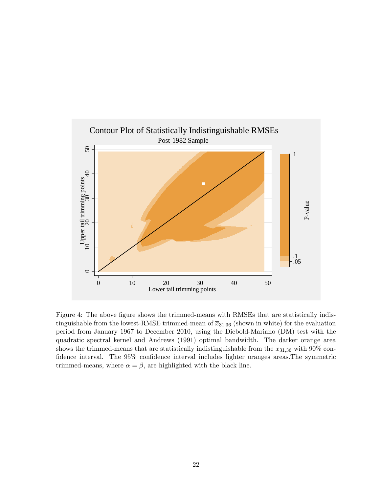

Figure 4: The above figure shows the trimmed-means with RMSEs that are statistically indistinguishable from the lowest-RMSE trimmed-mean of  $\overline{x}_{31,36}$  (shown in white) for the evaluation period from January 1967 to December 2010, using the Diebold-Mariano (DM) test with the quadratic spectral kernel and Andrews (1991) optimal bandwidth. The darker orange area shows the trimmed-means that are statistically indistinguishable from the  $\overline{x}_{31,36}$  with 90% confidence interval. The 95% confidence interval includes lighter oranges areas. The symmetric trimmed-means, where  $\alpha = \beta$ , are highlighted with the black line.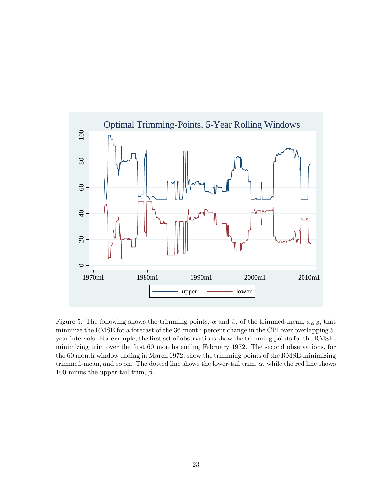

Figure 5: The following shows the trimming points,  $\alpha$  and  $\beta$ , of the trimmed-mean,  $\bar{x}_{\alpha,\beta}$ , that minimize the RMSE for a forecast of the 36-month percent change in the CPI over overlapping 5 year intervals. For example, the first set of observations show the trimming points for the RMSEminimizing trim over the first 60 months ending February 1972. The second observations, for the 60 month window ending in March 1972, show the trimming points of the RMSE-minimizing trimmed-mean, and so on. The dotted line shows the lower-tail trim,  $\alpha$ , while the red line shows 100 minus the upper-tail trim,  $\beta$ .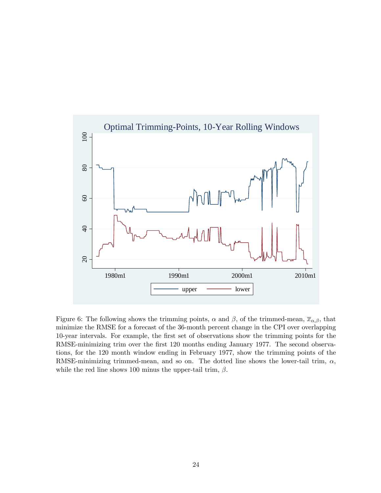

Figure 6: The following shows the trimming points,  $\alpha$  and  $\beta$ , of the trimmed-mean,  $\bar{x}_{\alpha,\beta}$ , that minimize the RMSE for a forecast of the 36-month percent change in the CPI over overlapping 10-year intervals. For example, the Örst set of observations show the trimming points for the RMSE-minimizing trim over the first 120 months ending January 1977. The second observations, for the 120 month window ending in February 1977, show the trimming points of the RMSE-minimizing trimmed-mean, and so on. The dotted line shows the lower-tail trim,  $\alpha$ , while the red line shows 100 minus the upper-tail trim,  $\beta$ .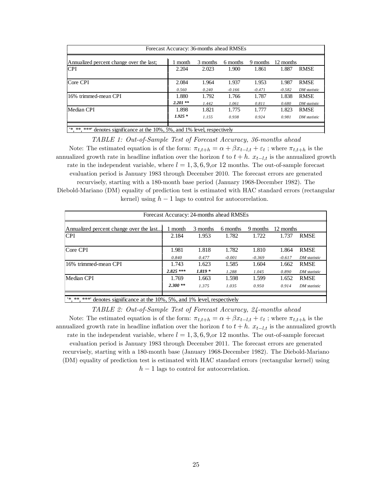| Forecast Accuracy: 36-months ahead RMSEs                                        |            |          |          |          |           |              |  |
|---------------------------------------------------------------------------------|------------|----------|----------|----------|-----------|--------------|--|
| Annualized percent change over the last;                                        | 1 month    | 3 months | 6 months | 9 months | 12 months |              |  |
| <b>CPI</b>                                                                      | 2.204      | 2.023    | 1.900    | 1.861    | 1.887     | <b>RMSE</b>  |  |
| Core CPI                                                                        | 2.084      | 1.964    | 1.937    | 1.953    | 1.987     | <b>RMSE</b>  |  |
|                                                                                 | 0.560      | 0.240    | $-0.166$ | $-0.471$ | $-0.582$  | DM statistic |  |
| 16% trimmed-mean CPI                                                            | 1.880      | 1.792    | 1.766    | 1.787    | 1.838     | <b>RMSE</b>  |  |
|                                                                                 | $2.201$ ** | 1.442    | 1.061    | 0.811    | 0.680     | DM statistic |  |
| Median CPI                                                                      | 1.898      | 1.821    | 1.775    | 1.777    | 1.823     | <b>RMSE</b>  |  |
|                                                                                 | $1.925*$   | 1.155    | 0.938    | 0.924    | 0.981     | DM statistic |  |
|                                                                                 |            |          |          |          |           |              |  |
| $'$ *, **, ***' denotes significance at the 10%, 5%, and 1% level, respectively |            |          |          |          |           |              |  |

TABLE 1: Out-of-Sample Test of Forecast Accuracy, 36-months ahead Note: The estimated equation is of the form:  $\pi_{t,t+h} = \alpha + \beta x_{t-l,t} + \varepsilon_t$ ; where  $\pi_{t,t+h}$  is the annualized growth rate in headline inflation over the horizon t to  $t + h$ .  $x_{t-l,t}$  is the annualized growth rate in the independent variable, where  $l = 1, 3, 6, 9, or 12$  months. The out-of-sample forecast evaluation period is January 1983 through December 2010. The forecast errors are generated recurvisely, starting with a 180-month base period (January 1968-December 1982). The Diebold-Mariano (DM) equality of prediction test is estimated with HAC standard errors (rectangular kernel) using  $h-1$  lags to control for autocorrelation.

| Forecast Accuracy: 24-months ahead RMSEs |            |          |          |          |           |              |  |
|------------------------------------------|------------|----------|----------|----------|-----------|--------------|--|
| Annualized percent change over the last  | 1 month    | 3 months | 6 months | 9 months | 12 months |              |  |
| <b>CPI</b>                               | 2.184      | 1.953    | 1.782    | 1.722    | 1.737     | <b>RMSE</b>  |  |
| Core CPI                                 | 1.981      | 1.818    | 1.782    | 1.810    | 1.864     | <b>RMSE</b>  |  |
|                                          | 0.840      | 0.477    | $-0.001$ | $-0.369$ | $-0.617$  | DM statistic |  |
| 16% trimmed-mean CPI                     | 1.743      | 1.623    | 1.585    | 1.604    | 1.662     | <b>RMSE</b>  |  |
|                                          | $2.825***$ | $1.819*$ | 1.288    | 1.045    | 0.890     | DM statistic |  |
| Median CPI                               | 1.769      | 1.663    | 1.598    | 1.599    | 1.652     | <b>RMSE</b>  |  |
|                                          | $2.300**$  | 1.375    | 1.035    | 0.950    | 0.914     | DM statistic |  |
|                                          |            |          |          |          |           |              |  |

'\*, \*\*, \*\*\*' denotes significance at the 10%, 5%, and 1% level, respectively

TABLE 2: Out-of-Sample Test of Forecast Accuracy, 24-months ahead Note: The estimated equation is of the form:  $\pi_{t,t+h} = \alpha + \beta x_{t-l,t} + \varepsilon_t$ ; where  $\pi_{t,t+h}$  is the annualized growth rate in headline inflation over the horizon t to  $t + h$ .  $x_{t-l,t}$  is the annualized growth rate in the independent variable, where  $l = 1, 3, 6, 9, or 12$  months. The out-of-sample forecast evaluation period is January 1983 through December 2011. The forecast errors are generated recurvisely, starting with a 180-month base (January 1968-December 1982). The Diebold-Mariano (DM) equality of prediction test is estimated with HAC standard errors (rectangular kernel) using  $h-1$  lags to control for autocorrelation.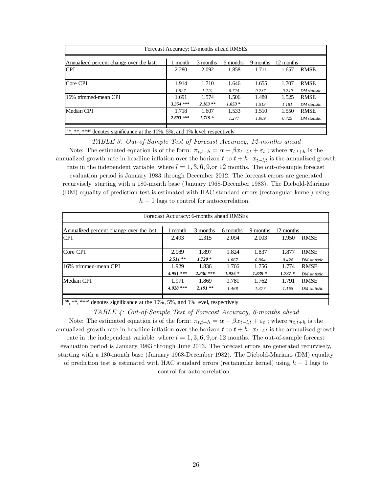| Forecast Accuracy: 12-months ahead RMSEs                                    |             |           |          |          |           |              |  |
|-----------------------------------------------------------------------------|-------------|-----------|----------|----------|-----------|--------------|--|
| Annualized percent change over the last;                                    | ∣ month     | 3 months  | 6 months | 9 months | 12 months |              |  |
| <b>CPI</b>                                                                  | 2.280       | 2.092     | 1.858    | 1.711    | 1.657     | <b>RMSE</b>  |  |
| Core CPI                                                                    | 1.914       | 1.710     | 1.646    | 1.655    | 1.707     | <b>RMSE</b>  |  |
|                                                                             | 1.527       | 1.219     | 0.724    | 0.237    | $-0.240$  | DM statistic |  |
| 16% trimmed-mean CPI                                                        | 1.691       | 1.574     | 1.506    | 1.489    | 1.525     | <b>RMSE</b>  |  |
|                                                                             | $3.354$ *** | $2.163**$ | $1.653*$ | 1.513    | 1.181     | DM statistic |  |
| Median CPI                                                                  | 1.718       | 1.607     | 1.533    | 1.510    | 1.550     | <b>RMSE</b>  |  |
|                                                                             | $2.693$ *** | $1.719*$  | 1.277    | 1.089    | 0.729     | DM statistic |  |
|                                                                             |             |           |          |          |           |              |  |
| *** ***'<br>denotes significance at the 10%, 5%, and 1% level, respectively |             |           |          |          |           |              |  |

TABLE 3: Out-of-Sample Test of Forecast Accuracy, 12-months ahead Note: The estimated equation is of the form:  $\pi_{t,t+h} = \alpha + \beta x_{t-l,t} + \varepsilon_t$ ; where  $\pi_{t,t+h}$  is the annualized growth rate in headline inflation over the horizon t to  $t + h$ .  $x_{t-l,t}$  is the annualized growth rate in the independent variable, where  $l = 1, 3, 6, 9, or 12$  months. The out-of-sample forecast evaluation period is January 1983 through December 2012. The forecast errors are generated recurvisely, starting with a 180-month base (January 1968-December 1983). The Diebold-Mariano (DM) equality of prediction test is estimated with HAC standard errors (rectangular kernel) using  $h-1$  lags to control for autocorrelation.

| Forecast Accuracy: 6-months ahead RMSEs  |            |            |          |          |           |              |  |
|------------------------------------------|------------|------------|----------|----------|-----------|--------------|--|
| Annualized percent change over the last; | 1 month    | 3 months   | 6 months | 9 months | 12 months |              |  |
| <b>CPI</b>                               | 2.493      | 2.315      | 2.094    | 2.003    | 1.950     | <b>RMSE</b>  |  |
| Core CPI                                 | 2.089      | 1.897      | 1.824    | 1.837    | 1.877     | <b>RMSE</b>  |  |
|                                          | $2.511**$  | $1.720*$   | 1.067    | 0.804    | 0.428     | DM statistic |  |
| 16% trimmed-mean CPI                     | 1.929      | 1.836      | 1.766    | 1.756    | 1.774     | <b>RMSE</b>  |  |
|                                          | $4.951***$ | $2.830***$ | $1.925*$ | $1.839*$ | $1.737*$  | DM statistic |  |
| Median CPI                               | 1.971      | 1.869      | 1.781    | 1.762    | 1.791     | <b>RMSE</b>  |  |
|                                          | $4.028***$ | $2.191**$  | 1.468    | 1.377    | 1.165     | DM statistic |  |
|                                          |            |            |          |          |           |              |  |

'\*, \*\*, \*\*\*' denotes significance at the 10%, 5%, and 1% level, respectively

TABLE 4: Out-of-Sample Test of Forecast Accuracy, 6-months ahead Note: The estimated equation is of the form:  $\pi_{t,t+h} = \alpha + \beta x_{t-l,t} + \varepsilon_t$ ; where  $\pi_{t,t+h}$  is the annualized growth rate in headline inflation over the horizon t to  $t + h$ .  $x_{t-l,t}$  is the annualized growth rate in the independent variable, where  $l = 1, 3, 6, 9, or 12$  months. The out-of-sample forecast evaluation period is January 1983 through June 2013. The forecast errors are generated recurvisely, starting with a 180-month base (January 1968-December 1982). The Diebold-Mariano (DM) equality of prediction test is estimated with HAC standard errors (rectangular kernel) using  $h-1$  lags to control for autocorrelation.